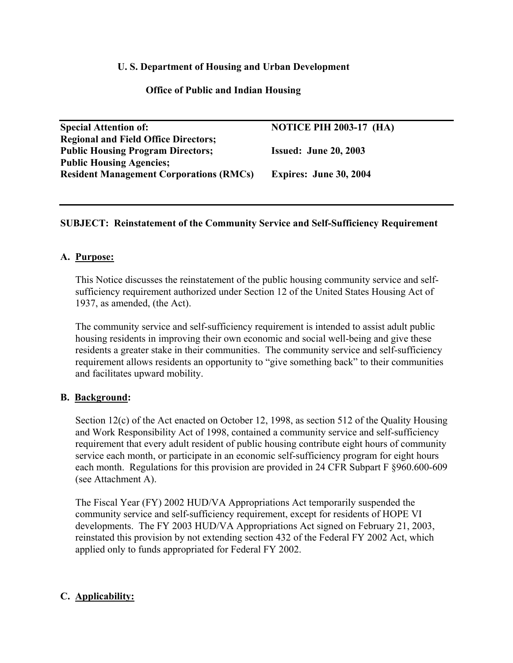### **U. S. Department of Housing and Urban Development**

### **Office of Public and Indian Housing**

**Special Attention of:** NOTICE PIH 2003-17 (HA) **Regional and Field Office Directors; Public Housing Program Directors; Issued: June 20, 2003 Public Housing Agencies; Resident Management Corporations (RMCs) Expires: June 30, 2004** 

### **SUBJECT: Reinstatement of the Community Service and Self-Sufficiency Requirement**

### **A. Purpose:**

This Notice discusses the reinstatement of the public housing community service and selfsufficiency requirement authorized under Section 12 of the United States Housing Act of 1937, as amended, (the Act).

The community service and self-sufficiency requirement is intended to assist adult public housing residents in improving their own economic and social well-being and give these residents a greater stake in their communities. The community service and self-sufficiency requirement allows residents an opportunity to "give something back" to their communities and facilitates upward mobility.

#### **B. Background:**

Section 12(c) of the Act enacted on October 12, 1998, as section 512 of the Quality Housing and Work Responsibility Act of 1998, contained a community service and self-sufficiency requirement that every adult resident of public housing contribute eight hours of community service each month, or participate in an economic self-sufficiency program for eight hours each month. Regulations for this provision are provided in 24 CFR Subpart F §960.600-609 (see Attachment A).

The Fiscal Year (FY) 2002 HUD/VA Appropriations Act temporarily suspended the community service and self-sufficiency requirement, except for residents of HOPE VI developments. The FY 2003 HUD/VA Appropriations Act signed on February 21, 2003, reinstated this provision by not extending section 432 of the Federal FY 2002 Act, which applied only to funds appropriated for Federal FY 2002.

# **C. Applicability:**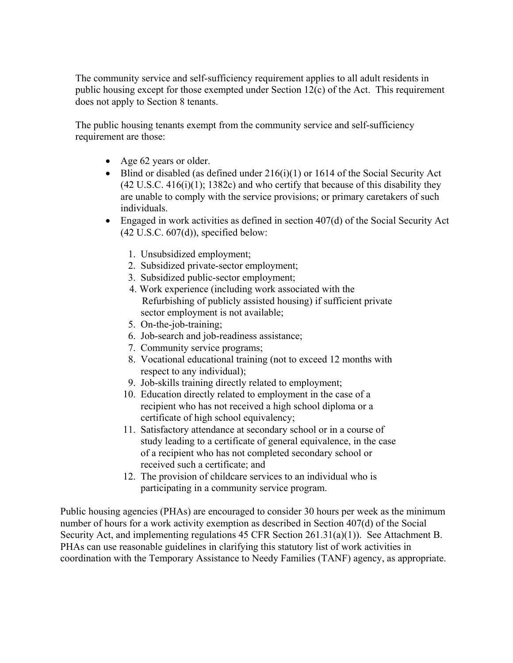The community service and self-sufficiency requirement applies to all adult residents in public housing except for those exempted under Section 12(c) of the Act. This requirement does not apply to Section 8 tenants.

The public housing tenants exempt from the community service and self-sufficiency requirement are those:

- Age 62 years or older.
- Blind or disabled (as defined under 216(i)(1) or 1614 of the Social Security Act  $(42 \text{ U.S.C. } 416(i)(1); 1382c)$  and who certify that because of this disability they are unable to comply with the service provisions; or primary caretakers of such individuals.
- Engaged in work activities as defined in section 407(d) of the Social Security Act  $(42 \text{ U.S.C. } 607(d))$ , specified below:
	- 1. Unsubsidized employment;
	- 2. Subsidized private-sector employment;
	- 3. Subsidized public-sector employment;
	- 4. Work experience (including work associated with the Refurbishing of publicly assisted housing) if sufficient private sector employment is not available;
	- 5. On-the-job-training;
	- 6. Job-search and job-readiness assistance;
	- 7. Community service programs;
	- 8. Vocational educational training (not to exceed 12 months with respect to any individual);
	- 9. Job-skills training directly related to employment;
	- 10. Education directly related to employment in the case of a recipient who has not received a high school diploma or a certificate of high school equivalency;
	- 11. Satisfactory attendance at secondary school or in a course of study leading to a certificate of general equivalence, in the case of a recipient who has not completed secondary school or received such a certificate; and
	- 12. The provision of childcare services to an individual who is participating in a community service program.

Public housing agencies (PHAs) are encouraged to consider 30 hours per week as the minimum number of hours for a work activity exemption as described in Section 407(d) of the Social Security Act, and implementing regulations 45 CFR Section 261.31(a)(1)). See Attachment B. PHAs can use reasonable guidelines in clarifying this statutory list of work activities in coordination with the Temporary Assistance to Needy Families (TANF) agency, as appropriate.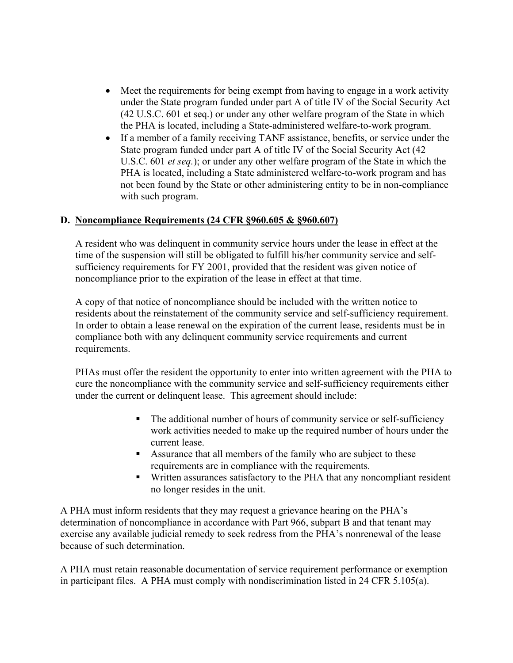- Meet the requirements for being exempt from having to engage in a work activity under the State program funded under part A of title IV of the Social Security Act (42 U.S.C. 601 et seq.) or under any other welfare program of the State in which the PHA is located, including a State-administered welfare-to-work program.
- If a member of a family receiving TANF assistance, benefits, or service under the State program funded under part A of title IV of the Social Security Act (42 U.S.C. 601 *et seq.*); or under any other welfare program of the State in which the PHA is located, including a State administered welfare-to-work program and has not been found by the State or other administering entity to be in non-compliance with such program.

### **D. Noncompliance Requirements (24 CFR §960.605 & §960.607)**

A resident who was delinquent in community service hours under the lease in effect at the time of the suspension will still be obligated to fulfill his/her community service and selfsufficiency requirements for FY 2001, provided that the resident was given notice of noncompliance prior to the expiration of the lease in effect at that time.

A copy of that notice of noncompliance should be included with the written notice to residents about the reinstatement of the community service and self-sufficiency requirement. In order to obtain a lease renewal on the expiration of the current lease, residents must be in compliance both with any delinquent community service requirements and current requirements.

 PHAs must offer the resident the opportunity to enter into written agreement with the PHA to cure the noncompliance with the community service and self-sufficiency requirements either under the current or delinquent lease. This agreement should include:

- The additional number of hours of community service or self-sufficiency work activities needed to make up the required number of hours under the current lease.
- Assurance that all members of the family who are subject to these requirements are in compliance with the requirements.
- Written assurances satisfactory to the PHA that any noncompliant resident no longer resides in the unit.

A PHA must inform residents that they may request a grievance hearing on the PHA's determination of noncompliance in accordance with Part 966, subpart B and that tenant may exercise any available judicial remedy to seek redress from the PHA's nonrenewal of the lease because of such determination.

A PHA must retain reasonable documentation of service requirement performance or exemption in participant files. A PHA must comply with nondiscrimination listed in 24 CFR 5.105(a).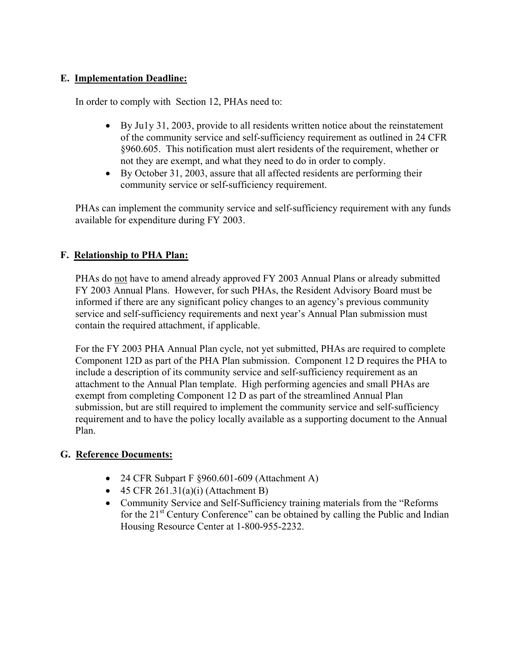# **E. Implementation Deadline:**

In order to comply with Section 12, PHAs need to:

- By Ju1y 31, 2003, provide to all residents written notice about the reinstatement of the community service and self-sufficiency requirement as outlined in 24 CFR §960.605. This notification must alert residents of the requirement, whether or not they are exempt, and what they need to do in order to comply.
- By October 31, 2003, assure that all affected residents are performing their community service or self-sufficiency requirement.

PHAs can implement the community service and self-sufficiency requirement with any funds available for expenditure during FY 2003.

# **F. Relationship to PHA Plan:**

 PHAs do not have to amend already approved FY 2003 Annual Plans or already submitted FY 2003 Annual Plans. However, for such PHAs, the Resident Advisory Board must be informed if there are any significant policy changes to an agency's previous community service and self-sufficiency requirements and next year's Annual Plan submission must contain the required attachment, if applicable.

For the FY 2003 PHA Annual Plan cycle, not yet submitted, PHAs are required to complete Component 12D as part of the PHA Plan submission. Component 12 D requires the PHA to include a description of its community service and self-sufficiency requirement as an attachment to the Annual Plan template. High performing agencies and small PHAs are exempt from completing Component 12 D as part of the streamlined Annual Plan submission, but are still required to implement the community service and self-sufficiency requirement and to have the policy locally available as a supporting document to the Annual Plan.

### **G. Reference Documents:**

- 24 CFR Subpart F §960.601-609 (Attachment A)
- 45 CFR 261.31(a)(i) (Attachment B)
- Community Service and Self-Sufficiency training materials from the "Reforms for the  $21<sup>st</sup>$  Century Conference" can be obtained by calling the Public and Indian Housing Resource Center at 1-800-955-2232.